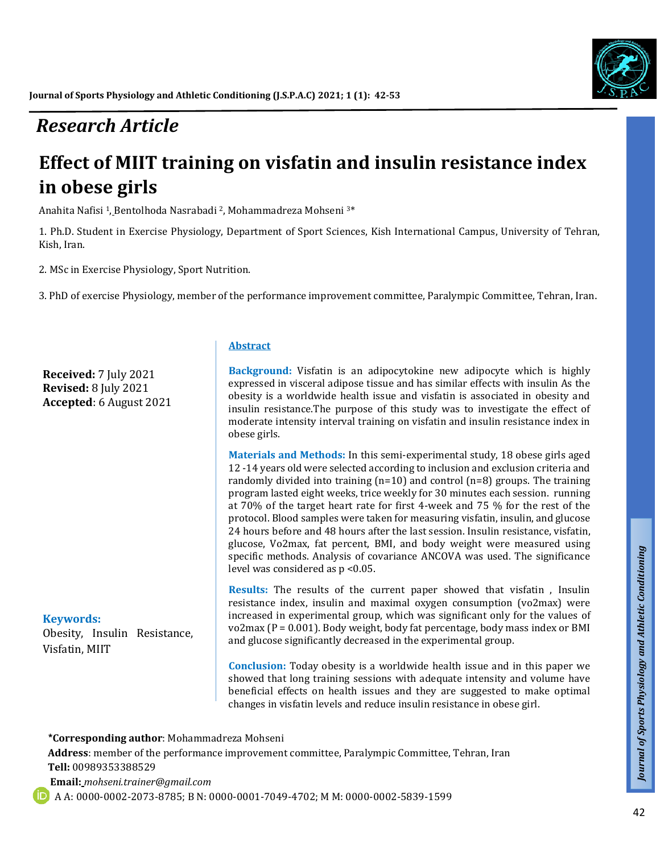# *Research Article*

# **Effect of MIIT training on visfatin and insulin resistance index in obese girls**

Anahita Nafisi <sup>1</sup>, [Bentolhoda Nasrabadi](http://sjimu.medilam.ac.ir/search.php?slc_lang=en&sid=1&auth=Nasrabadi) <sup>2</sup>, Mohammadreza Mohseni 3\*

1. Ph.D. Student in Exercise Physiology, Department of Sport Sciences, Kish International Campus, University of Tehran, Kish, Iran.

2. MSc in Exercise Physiology, Sport Nutrition.

3. PhD of exercise Physiology, member of the performance improvement committee, Paralympic Committee, Tehran, Iran.

**Received:** 7 July 2021 **Revised:** 8 July 2021 **Accepted**: 6 August 2021

#### **Keywords:**

Obesity, Insulin Resistance, Visfatin, MIIT

#### **Abstract**

**Background:** Visfatin is an adipocytokine new adipocyte which is highly expressed in visceral adipose tissue and has similar effects with insulin As the obesity is a worldwide health issue and visfatin is associated in obesity and insulin resistance.The purpose of this study was to investigate the effect of moderate intensity interval training on visfatin and insulin resistance index in obese girls.

**Materials and Methods:** In this semi-experimental study, 18 obese girls aged 12 -14 years old were selected according to inclusion and exclusion criteria and randomly divided into training (n=10) and control (n=8) groups. The training program lasted eight weeks, trice weekly for 30 minutes each session. running at 70% of the target heart rate for first 4-week and 75 % for the rest of the protocol. Blood samples were taken for measuring visfatin, insulin, and glucose 24 hours before and 48 hours after the last session. Insulin resistance, visfatin, glucose, Vo2max, fat percent, BMI, and body weight were measured using specific methods. Analysis of covariance ANCOVA was used. The significance level was considered as p <0.05.

**Results:** The results of the current paper showed that visfatin , Insulin resistance index, insulin and maximal oxygen consumption (vo2max) were increased in experimental group, which was significant only for the values of vo2max (P = 0.001). Body weight, body fat percentage, body mass index or BMI and glucose significantly decreased in the experimental group.

**Conclusion:** Today obesity is a worldwide health issue and in this paper we showed that long training sessions with adequate intensity and volume have beneficial effects on health issues and they are suggested to make optimal changes in visfatin levels and reduce insulin resistance in obese girl.

 **\*Corresponding author**: Mohammadreza Mohseni

**Address**: member of the performance improvement committee, Paralympic Committee, Tehran, Iran **Tell:** 00989353388529  **Email:** *mohseni.trainer@gmail.com*

A A: 0000-0002-2073-8785; B N: 0000-0001-7049-4702; M M: 0000-0002-5839-1599

*Talk*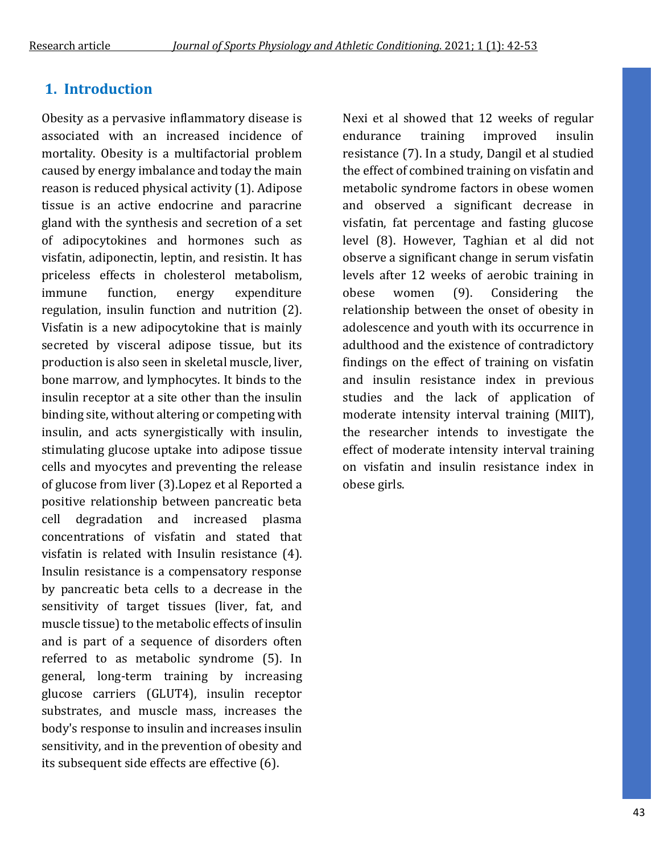# **1. Introduction**

Obesity as a pervasive inflammatory disease is associated with an increased incidence of mortality. Obesity is a multifactorial problem caused by energy imbalance and today the main reason is reduced physical activity (1). Adipose tissue is an active endocrine and paracrine gland with the synthesis and secretion of a set of adipocytokines and hormones such as visfatin, adiponectin, leptin, and resistin. It has priceless effects in cholesterol metabolism, immune function, energy expenditure regulation, insulin function and nutrition (2). Visfatin is a new adipocytokine that is mainly secreted by visceral adipose tissue, but its production is also seen in skeletal muscle, liver, bone marrow, and lymphocytes. It binds to the insulin receptor at a site other than the insulin binding site, without altering or competing with insulin, and acts synergistically with insulin, stimulating glucose uptake into adipose tissue cells and myocytes and preventing the release of glucose from liver (3).Lopez et al Reported a positive relationship between pancreatic beta cell degradation and increased plasma concentrations of visfatin and stated that visfatin is related with Insulin resistance (4). Insulin resistance is a compensatory response by pancreatic beta cells to a decrease in the sensitivity of target tissues (liver, fat, and muscle tissue) to the metabolic effects of insulin and is part of a sequence of disorders often referred to as metabolic syndrome (5). In general, long-term training by increasing glucose carriers (GLUT4), insulin receptor substrates, and muscle mass, increases the body's response to insulin and increases insulin sensitivity, and in the prevention of obesity and its subsequent side effects are effective (6).

Nexi et al showed that 12 weeks of regular endurance training improved insulin resistance (7). In a study, Dangil et al studied the effect of combined training on visfatin and metabolic syndrome factors in obese women and observed a significant decrease in visfatin, fat percentage and fasting glucose level (8). However, Taghian et al did not observe a significant change in serum visfatin levels after 12 weeks of aerobic training in obese women (9). Considering the relationship between the onset of obesity in adolescence and youth with its occurrence in adulthood and the existence of contradictory findings on the effect of training on visfatin and insulin resistance index in previous studies and the lack of application of moderate intensity interval training (MIIT), the researcher intends to investigate the effect of moderate intensity interval training on visfatin and insulin resistance index in obese girls.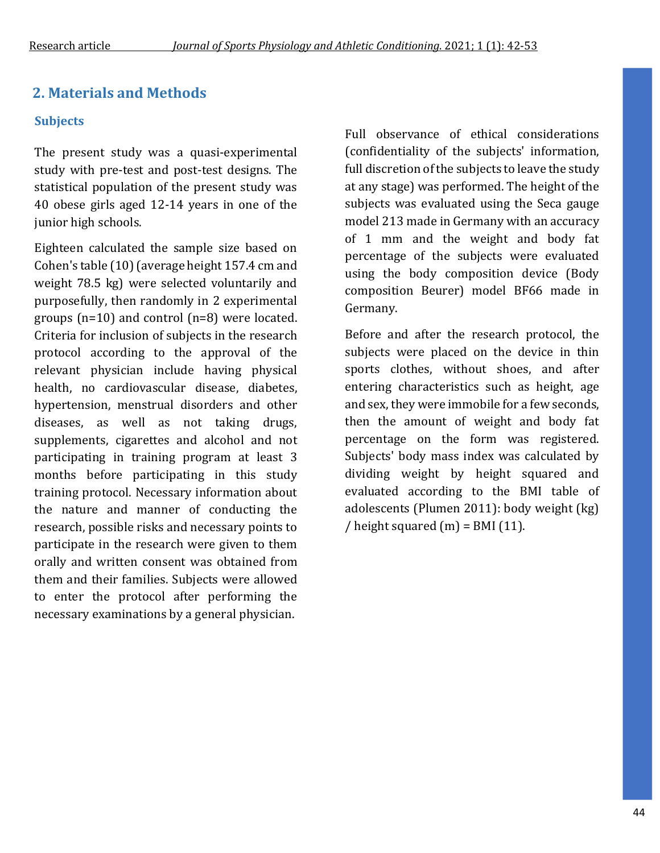# **2. Materials and Methods**

### **Subjects**

The present study was a quasi-experimental study with pre-test and post-test designs. The statistical population of the present study was 40 obese girls aged 12-14 years in one of the junior high schools.

Eighteen calculated the sample size based on Cohen's table (10) (average height 157.4 cm and weight 78.5 kg) were selected voluntarily and purposefully, then randomly in 2 experimental groups (n=10) and control (n=8) were located. Criteria for inclusion of subjects in the research protocol according to the approval of the relevant physician include having physical health, no cardiovascular disease, diabetes, hypertension, menstrual disorders and other diseases, as well as not taking drugs, supplements, cigarettes and alcohol and not participating in training program at least 3 months before participating in this study training protocol. Necessary information about the nature and manner of conducting the research, possible risks and necessary points to participate in the research were given to them orally and written consent was obtained from them and their families. Subjects were allowed to enter the protocol after performing the necessary examinations by a general physician.

Full observance of ethical considerations (confidentiality of the subjects' information, full discretion of the subjects to leave the study at any stage) was performed. The height of the subjects was evaluated using the Seca gauge model 213 made in Germany with an accuracy of 1 mm and the weight and body fat percentage of the subjects were evaluated using the body composition device (Body composition Beurer) model BF66 made in Germany.

Before and after the research protocol, the subjects were placed on the device in thin sports clothes, without shoes, and after entering characteristics such as height, age and sex, they were immobile for a few seconds, then the amount of weight and body fat percentage on the form was registered. Subjects' body mass index was calculated by dividing weight by height squared and evaluated according to the BMI table of adolescents (Plumen 2011): body weight (kg) / height squared  $(m)$  = BMI (11).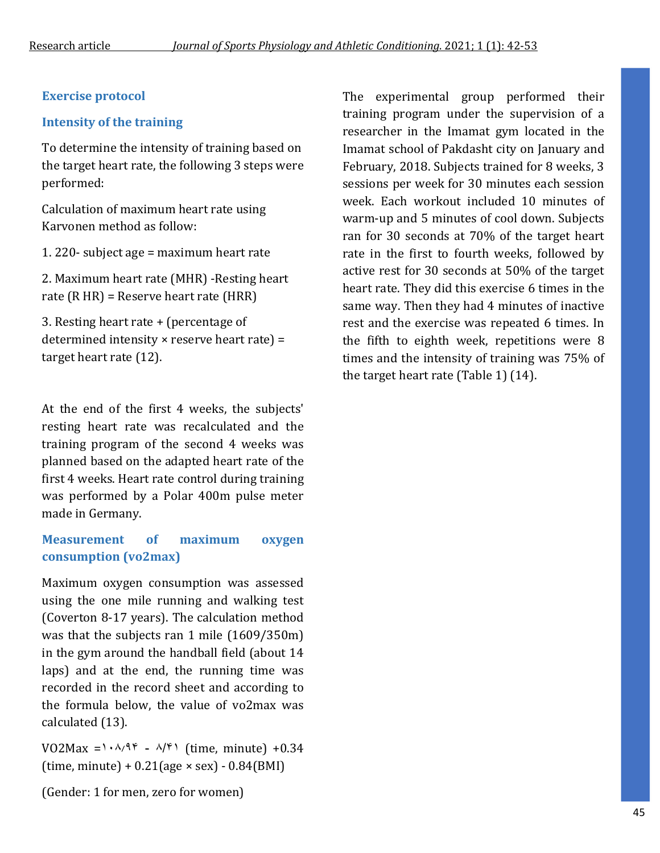### **Exercise protocol**

### **Intensity of the training**

To determine the intensity of training based on the target heart rate, the following 3 steps were performed:

Calculation of maximum heart rate using Karvonen method as follow:

1. 220- subject age = maximum heart rate

2. Maximum heart rate (MHR) -Resting heart rate (R HR) = Reserve heart rate (HRR)

3. Resting heart rate + (percentage of determined intensity × reserve heart rate) = target heart rate (12).

At the end of the first 4 weeks, the subjects' resting heart rate was recalculated and the training program of the second 4 weeks was planned based on the adapted heart rate of the first 4 weeks. Heart rate control during training was performed by a Polar 400m pulse meter made in Germany.

## **Measurement of maximum oxygen consumption (vo2max)**

Maximum oxygen consumption was assessed using the one mile running and walking test (Coverton 8-17 years). The calculation method was that the subjects ran 1 mile (1609/350m) in the gym around the handball field (about 14 laps) and at the end, the running time was recorded in the record sheet and according to the formula below, the value of vo2max was calculated (13).

 $VO2Max =1.8/19$  -  $A/9$  (time, minute) +0.34  $(time, minute) + 0.21(age \times sex) - 0.84(BMI)$ 

(Gender: 1 for men, zero for women)

The experimental group performed their training program under the supervision of a researcher in the Imamat gym located in the Imamat school of Pakdasht city on January and February, 2018. Subjects trained for 8 weeks, 3 sessions per week for 30 minutes each session week. Each workout included 10 minutes of warm-up and 5 minutes of cool down. Subjects ran for 30 seconds at 70% of the target heart rate in the first to fourth weeks, followed by active rest for 30 seconds at 50% of the target heart rate. They did this exercise 6 times in the same way. Then they had 4 minutes of inactive rest and the exercise was repeated 6 times. In the fifth to eighth week, repetitions were 8 times and the intensity of training was 75% of the target heart rate (Table 1) (14).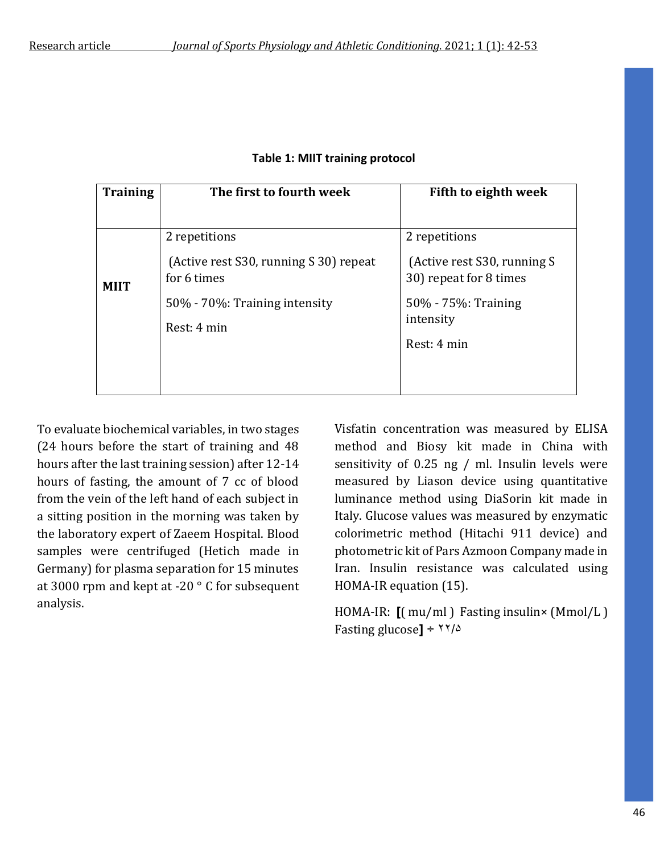| <b>Training</b> | The first to fourth week                              | Fifth to eighth week                                  |  |
|-----------------|-------------------------------------------------------|-------------------------------------------------------|--|
|                 |                                                       |                                                       |  |
| <b>MIIT</b>     | 2 repetitions                                         | 2 repetitions                                         |  |
|                 | (Active rest S30, running S 30) repeat<br>for 6 times | (Active rest S30, running S<br>30) repeat for 8 times |  |
|                 | 50% - 70%: Training intensity<br>Rest: 4 min          | 50% - 75%: Training<br>intensity                      |  |
|                 |                                                       | Rest: 4 min                                           |  |
|                 |                                                       |                                                       |  |

#### **Table 1: MIIT training protocol**

To evaluate biochemical variables, in two stages (24 hours before the start of training and 48 hours after the last training session) after 12-14 hours of fasting, the amount of 7 cc of blood from the vein of the left hand of each subject in a sitting position in the morning was taken by the laboratory expert of Zaeem Hospital. Blood samples were centrifuged (Hetich made in Germany) for plasma separation for 15 minutes at 3000 rpm and kept at -20 ° C for subsequent analysis.

Visfatin concentration was measured by ELISA method and Biosy kit made in China with sensitivity of 0.25 ng / ml. Insulin levels were measured by Liason device using quantitative luminance method using DiaSorin kit made in Italy. Glucose values was measured by enzymatic colorimetric method (Hitachi 911 device) and photometric kit of Pars Azmoon Company made in Iran. Insulin resistance was calculated using HOMA-IR equation (15).

HOMA-IR: **]**( mu/ml ) Fasting insulin× (Mmol/L ) Fasting glucose<sup> $1 \div \frac{1}{2}$ </sup>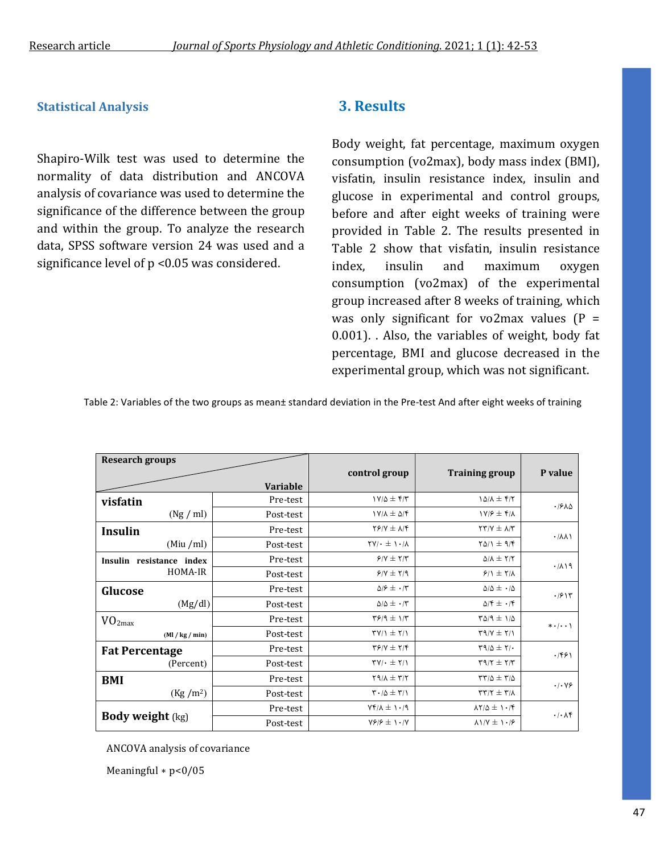### **Statistical Analysis**

Shapiro-Wilk test was used to determine the normality of data distribution and ANCOVA analysis of covariance was used to determine the significance of the difference between the group and within the group. To analyze the research data, SPSS software version 24 was used and a significance level of p <0.05 was considered.

### **3. Results**

Body weight, fat percentage, maximum oxygen consumption (vo2max), body mass index (BMI), visfatin, insulin resistance index, insulin and glucose in experimental and control groups, before and after eight weeks of training were provided in Table 2. The results presented in Table 2 show that visfatin, insulin resistance index, insulin and maximum oxygen consumption (vo2max) of the experimental group increased after 8 weeks of training, which was only significant for vo2max values  $(P =$ 0.001). . Also, the variables of weight, body fat percentage, BMI and glucose decreased in the experimental group, which was not significant.

Table 2: Variables of the two groups as mean± standard deviation in the Pre-test And after eight weeks of training

| <b>Research groups</b>   |                 |                                                                                       |                                                       |                                       |
|--------------------------|-----------------|---------------------------------------------------------------------------------------|-------------------------------------------------------|---------------------------------------|
|                          |                 | control group                                                                         | <b>Training group</b>                                 | P value                               |
|                          | <b>Variable</b> |                                                                                       |                                                       |                                       |
| visfatin                 | Pre-test        | $Y/\Delta \pm f/T$                                                                    | $1\Delta/\lambda \pm f/\tau$                          | .1910                                 |
| (Ng / ml)                | Post-test       | $Y/\lambda \pm \Delta/\mathfrak{f}$                                                   | $1Y/F \pm Y/\lambda$                                  |                                       |
| <b>Insulin</b>           | Pre-test        | $YY/Y \pm \Lambda/Y$                                                                  | $\Upsilon \Upsilon / \Upsilon \pm \Lambda / \Upsilon$ | $. / \lambda \lambda$                 |
| (Miu/ml)                 | Post-test       | $\mathsf{Y}\mathsf{Y}\mathsf{I}\cdot\mathsf{I}\pm\mathsf{I}\cdot\mathsf{I}\mathsf{A}$ | $Y\Delta/\Upsilon \pm 9/F$                            |                                       |
| Insulin resistance index | Pre-test        | $Y/Y \pm Y/Y$                                                                         | $\Delta/\Lambda \pm 7/7$                              | .711                                  |
| HOMA-IR                  | Post-test       | $Y/Y \pm Y$                                                                           | $9/1 \pm 1/1$                                         |                                       |
| Glucose                  | Pre-test        | $\Delta/\mathcal{F} \pm \cdot/\mathcal{r}$                                            | $\Delta/\Delta \pm -/\Delta$                          | .791                                  |
| (Mg/dl)                  | Post-test       | $\Delta/\Delta$ $\pm$ $\cdot$ /٣                                                      | $\Delta/\mathfrak{k} \pm \cdot/\mathfrak{k}$          |                                       |
| VO <sub>2max</sub>       | Pre-test        | $\Gamma$ $\gamma$ / $\gamma$ + $\gamma$                                               | $T\Delta$ /9 $\pm$ 1/ $\Delta$                        | $* \cdot   \cdot \cdot \rangle$       |
| (Ml / kg / min)          | Post-test       | $\Upsilon$ // $\Upsilon$ $\pm$ $\Upsilon$                                             | $\Upsilon$ $\Upsilon$ $\Upsilon$ $\Upsilon$           |                                       |
| <b>Fat Percentage</b>    | Pre-test        | $\mathbf{Y}$ $\mathbf{Y}$ $\mathbf{Y}$ $\mathbf{Y}$ $\mathbf{Y}$                      | $\Gamma$ 9/0 ± $\Upsilon$ / $\cdot$                   | .7991                                 |
| (Percent)                | Post-test       | $\Upsilon V/\cdot \pm \Upsilon/\Upsilon$                                              | $\tau$ 9/7 ± $\tau/\tau$                              |                                       |
| BMI                      | Pre-test        | $\Gamma$ $\uparrow$ $\uparrow$ $\uparrow$ $\uparrow$                                  | $\Gamma\Gamma/\Delta\pm\Gamma/\Delta$                 | $\cdot$ / $\cdot$ $\vee$ $\circ$      |
| (Kg/m <sup>2</sup> )     | Post-test       | $\Gamma \cdot / \Delta \pm \Gamma / \Gamma$                                           | $\Gamma \Upsilon / \Upsilon \pm \Upsilon / \Lambda$   |                                       |
|                          | Pre-test        | $\gamma \cdot \gamma \pm \gamma$                                                      | $\lambda Y/\Delta \pm 1.7$                            | $\cdot$ / $\cdot$ $\wedge$ $\uparrow$ |
| <b>Body weight</b> (kg)  | Post-test       | $Y$ $/$ $/$ $/$ $+$ $\cdot$ $/$ $Y$                                                   | $\lambda$ $\sqrt{y}$ $\pm$ $\sqrt{y}$                 |                                       |

ANCOVA analysis of covariance

Meaningful ∗ p<0/05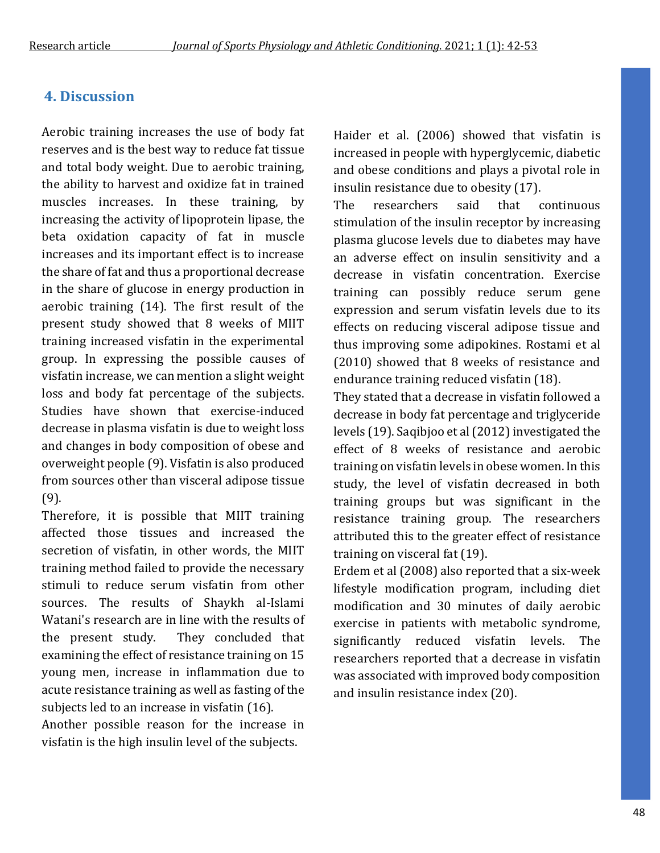# **4. Discussion**

Aerobic training increases the use of body fat reserves and is the best way to reduce fat tissue and total body weight. Due to aerobic training, the ability to harvest and oxidize fat in trained muscles increases. In these training, by increasing the activity of lipoprotein lipase, the beta oxidation capacity of fat in muscle increases and its important effect is to increase the share of fat and thus a proportional decrease in the share of glucose in energy production in aerobic training (14). The first result of the present study showed that 8 weeks of MIIT training increased visfatin in the experimental group. In expressing the possible causes of visfatin increase, we can mention a slight weight loss and body fat percentage of the subjects. Studies have shown that exercise-induced decrease in plasma visfatin is due to weight loss and changes in body composition of obese and overweight people (9). Visfatin is also produced from sources other than visceral adipose tissue (9).

Therefore, it is possible that MIIT training affected those tissues and increased the secretion of visfatin, in other words, the MIIT training method failed to provide the necessary stimuli to reduce serum visfatin from other sources. The results of Shaykh al-Islami Watani's research are in line with the results of the present study. They concluded that examining the effect of resistance training on 15 young men, increase in inflammation due to acute resistance training as well as fasting of the subjects led to an increase in visfatin (16).

Another possible reason for the increase in visfatin is the high insulin level of the subjects.

Haider et al. (2006) showed that visfatin is increased in people with hyperglycemic, diabetic and obese conditions and plays a pivotal role in insulin resistance due to obesity (17).

The researchers said that continuous stimulation of the insulin receptor by increasing plasma glucose levels due to diabetes may have an adverse effect on insulin sensitivity and a decrease in visfatin concentration. Exercise training can possibly reduce serum gene expression and serum visfatin levels due to its effects on reducing visceral adipose tissue and thus improving some adipokines. Rostami et al (2010) showed that 8 weeks of resistance and endurance training reduced visfatin (18).

They stated that a decrease in visfatin followed a decrease in body fat percentage and triglyceride levels (19). Saqibjoo et al (2012) investigated the effect of 8 weeks of resistance and aerobic training on visfatin levels in obese women. In this study, the level of visfatin decreased in both training groups but was significant in the resistance training group. The researchers attributed this to the greater effect of resistance training on visceral fat (19).

Erdem et al (2008) also reported that a six-week lifestyle modification program, including diet modification and 30 minutes of daily aerobic exercise in patients with metabolic syndrome, significantly reduced visfatin levels. The researchers reported that a decrease in visfatin was associated with improved body composition and insulin resistance index (20).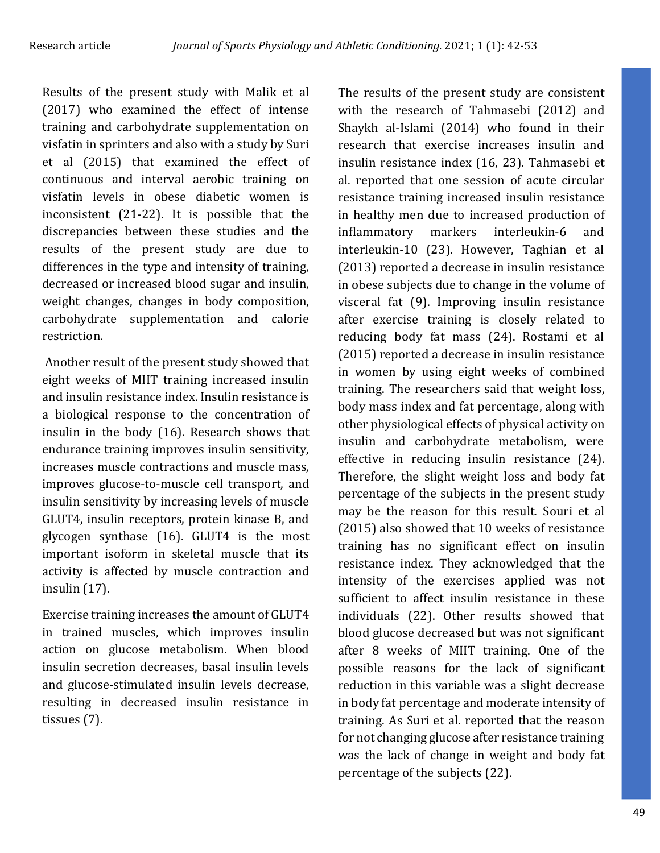Results of the present study with Malik et al (2017) who examined the effect of intense training and carbohydrate supplementation on visfatin in sprinters and also with a study by Suri et al (2015) that examined the effect of continuous and interval aerobic training on visfatin levels in obese diabetic women is inconsistent (21-22). It is possible that the discrepancies between these studies and the results of the present study are due to differences in the type and intensity of training, decreased or increased blood sugar and insulin, weight changes, changes in body composition, carbohydrate supplementation and calorie restriction.

Another result of the present study showed that eight weeks of MIIT training increased insulin and insulin resistance index. Insulin resistance is a biological response to the concentration of insulin in the body (16). Research shows that endurance training improves insulin sensitivity, increases muscle contractions and muscle mass, improves glucose-to-muscle cell transport, and insulin sensitivity by increasing levels of muscle GLUT4, insulin receptors, protein kinase B, and glycogen synthase (16). GLUT4 is the most important isoform in skeletal muscle that its activity is affected by muscle contraction and insulin (17).

Exercise training increases the amount of GLUT4 in trained muscles, which improves insulin action on glucose metabolism. When blood insulin secretion decreases, basal insulin levels and glucose-stimulated insulin levels decrease, resulting in decreased insulin resistance in tissues (7).

The results of the present study are consistent with the research of Tahmasebi (2012) and Shaykh al-Islami (2014) who found in their research that exercise increases insulin and insulin resistance index (16, 23). Tahmasebi et al. reported that one session of acute circular resistance training increased insulin resistance in healthy men due to increased production of inflammatory markers interleukin-6 and interleukin-10 (23). However, Taghian et al (2013) reported a decrease in insulin resistance in obese subjects due to change in the volume of visceral fat (9). Improving insulin resistance after exercise training is closely related to reducing body fat mass (24). Rostami et al (2015) reported a decrease in insulin resistance in women by using eight weeks of combined training. The researchers said that weight loss, body mass index and fat percentage, along with other physiological effects of physical activity on insulin and carbohydrate metabolism, were effective in reducing insulin resistance (24). Therefore, the slight weight loss and body fat percentage of the subjects in the present study may be the reason for this result. Souri et al (2015) also showed that 10 weeks of resistance training has no significant effect on insulin resistance index. They acknowledged that the intensity of the exercises applied was not sufficient to affect insulin resistance in these individuals (22). Other results showed that blood glucose decreased but was not significant after 8 weeks of MIIT training. One of the possible reasons for the lack of significant reduction in this variable was a slight decrease in body fat percentage and moderate intensity of training. As Suri et al. reported that the reason for not changing glucose after resistance training was the lack of change in weight and body fat percentage of the subjects (22).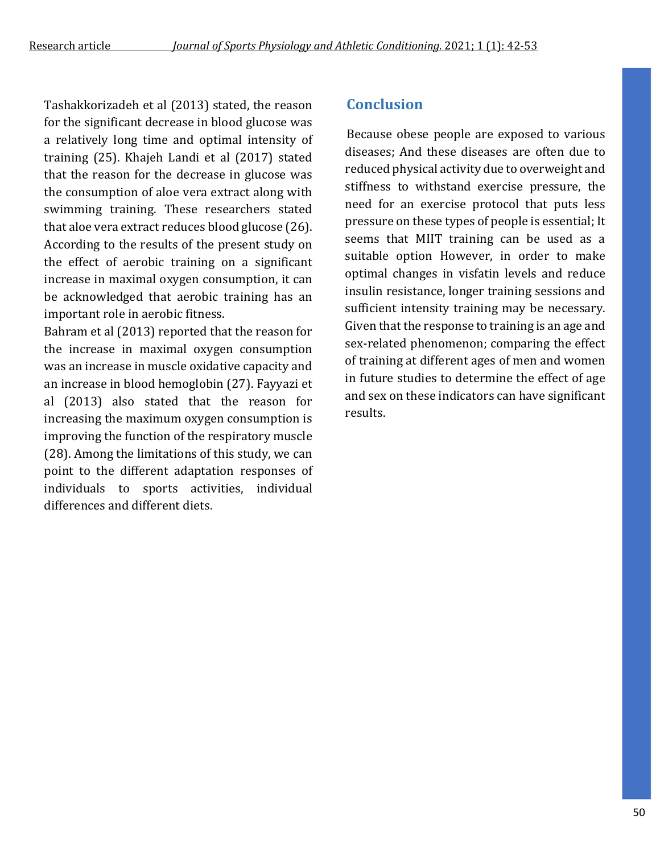Tashakkorizadeh et al (2013) stated, the reason for the significant decrease in blood glucose was a relatively long time and optimal intensity of training (25). Khajeh Landi et al (2017) stated that the reason for the decrease in glucose was the consumption of aloe vera extract along with swimming training. These researchers stated that aloe vera extract reduces blood glucose (26). According to the results of the present study on the effect of aerobic training on a significant increase in maximal oxygen consumption, it can be acknowledged that aerobic training has an important role in aerobic fitness.

Bahram et al (2013) reported that the reason for the increase in maximal oxygen consumption was an increase in muscle oxidative capacity and an increase in blood hemoglobin (27). Fayyazi et al (2013) also stated that the reason for increasing the maximum oxygen consumption is improving the function of the respiratory muscle (28). Among the limitations of this study, we can point to the different adaptation responses of individuals to sports activities, individual differences and different diets.

### **Conclusion**

 Because obese people are exposed to various diseases; And these diseases are often due to reduced physical activity due to overweight and stiffness to withstand exercise pressure, the need for an exercise protocol that puts less pressure on these types of people is essential; It seems that MIIT training can be used as a suitable option However, in order to make optimal changes in visfatin levels and reduce insulin resistance, longer training sessions and sufficient intensity training may be necessary. Given that the response to training is an age and sex-related phenomenon; comparing the effect of training at different ages of men and women in future studies to determine the effect of age and sex on these indicators can have significant results.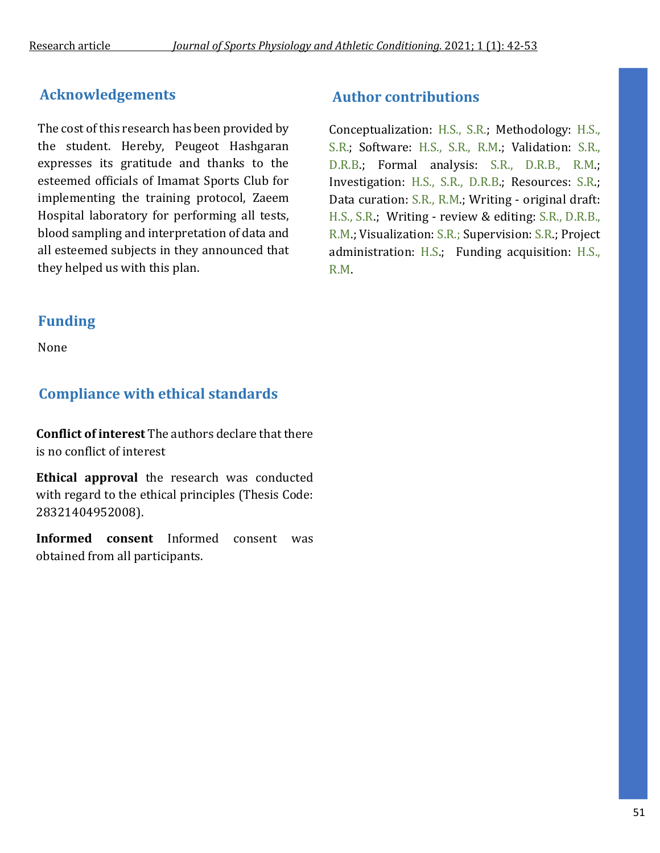# **Acknowledgements**

The cost of this research has been provided by the student. Hereby, Peugeot Hashgaran expresses its gratitude and thanks to the esteemed officials of Imamat Sports Club for implementing the training protocol, Zaeem Hospital laboratory for performing all tests, blood sampling and interpretation of data and all esteemed subjects in they announced that they helped us with this plan.

# **Funding**

None

# **Compliance with ethical standards**

**Conflict of interest** The authors declare that there is no conflict of interest

**Ethical approval** the research was conducted with regard to the ethical principles (Thesis Code: 28321404952008).

**Informed consent** Informed consent was obtained from all participants.

## **Author contributions**

Conceptualization: H.S., S.R.; Methodology: H.S., S.R.; Software: H.S., S.R., R.M.; Validation: S.R., D.R.B.; Formal analysis: S.R., D.R.B., R.M.; Investigation: H.S., S.R., D.R.B.; Resources: S.R.; Data curation: S.R., R.M.; Writing - original draft: H.S., S.R.; Writing - review & editing: S.R., D.R.B., R.M.; Visualization: S.R.; Supervision: S.R.; Project administration: H.S.; Funding acquisition: H.S., R.M.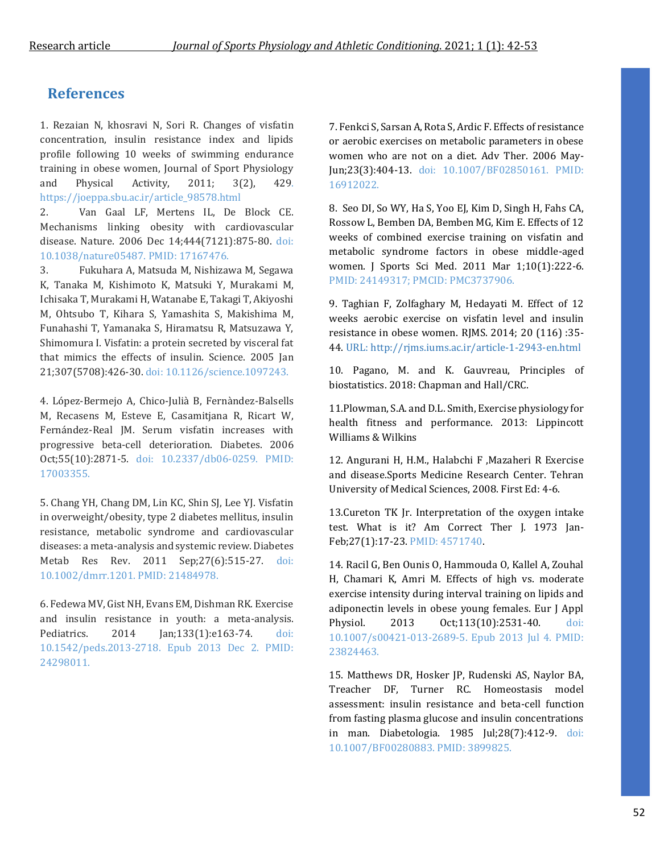### **References**

1. Rezaian N, khosravi N, Sori R. Changes of visfatin concentration, insulin resistance index and lipids profile following 10 weeks of swimming endurance training in obese women, Journal of Sport Physiology and Physical Activity, 2011; 3(2), 429. https://joeppa.sbu.ac.ir/article\_98578.html

2. Van Gaal LF, Mertens IL, De Block CE. Mechanisms linking obesity with cardiovascular disease. Nature. 2006 Dec 14;444(7121):875-80. doi: 10.1038/nature05487. PMID: 17167476.

3. Fukuhara A, Matsuda M, Nishizawa M, Segawa K, Tanaka M, Kishimoto K, Matsuki Y, Murakami M, Ichisaka T, Murakami H, Watanabe E, Takagi T, Akiyoshi M, Ohtsubo T, Kihara S, Yamashita S, Makishima M, Funahashi T, Yamanaka S, Hiramatsu R, Matsuzawa Y, Shimomura I. Visfatin: a protein secreted by visceral fat that mimics the effects of insulin. Science. 2005 Jan 21;307(5708):426-30. doi: 10.1126/science.1097243.

4. López-Bermejo A, Chico-Julià B, Fernàndez-Balsells M, Recasens M, Esteve E, Casamitjana R, Ricart W, Fernández-Real JM. Serum visfatin increases with progressive beta-cell deterioration. Diabetes. 2006 Oct;55(10):2871-5. doi: 10.2337/db06-0259. PMID: 17003355.

5. Chang YH, Chang DM, Lin KC, Shin SJ, Lee YJ. Visfatin in overweight/obesity, type 2 diabetes mellitus, insulin resistance, metabolic syndrome and cardiovascular diseases: a meta-analysis and systemic review. Diabetes Metab Res Rev. 2011 Sep;27(6):515-27. doi: 10.1002/dmrr.1201. PMID: 21484978.

6. Fedewa MV, Gist NH, Evans EM, Dishman RK. Exercise and insulin resistance in youth: a meta-analysis. Pediatrics. 2014 Jan;133(1):e163-74. doi: 10.1542/peds.2013-2718. Epub 2013 Dec 2. PMID: 24298011.

7. Fenkci S, Sarsan A, Rota S, Ardic F. Effects of resistance or aerobic exercises on metabolic parameters in obese women who are not on a diet. Adv Ther. 2006 May-Jun;23(3):404-13. doi: 10.1007/BF02850161. PMID: 16912022.

8. Seo DI, So WY, Ha S, Yoo EJ, Kim D, Singh H, Fahs CA, Rossow L, Bemben DA, Bemben MG, Kim E. Effects of 12 weeks of combined exercise training on visfatin and metabolic syndrome factors in obese middle-aged women. J Sports Sci Med. 2011 Mar 1;10(1):222-6. PMID: 24149317; PMCID: PMC3737906.

9. Taghian F, Zolfaghary M, Hedayati M. Effect of 12 weeks aerobic exercise on visfatin level and insulin resistance in obese women. RJMS. 2014; 20 (116) :35- 44. URL: http://rjms.iums.ac.ir/article-1-2943-en.html

10. Pagano, M. and K. Gauvreau, Principles of biostatistics. 2018: Chapman and Hall/CRC.

11.Plowman, S.A. and D.L. Smith, Exercise physiology for health fitness and performance. 2013: Lippincott Williams & Wilkins

12. Angurani H, H.M., Halabchi F ,Mazaheri R Exercise and disease.Sports Medicine Research Center. Tehran University of Medical Sciences, 2008. First Ed: 4-6.

13.Cureton TK Jr. Interpretation of the oxygen intake test. What is it? Am Correct Ther J. 1973 Jan-Feb;27(1):17-23. PMID: 4571740.

14. Racil G, Ben Ounis O, Hammouda O, Kallel A, Zouhal H, Chamari K, Amri M. Effects of high vs. moderate exercise intensity during interval training on lipids and adiponectin levels in obese young females. Eur J Appl Physiol. 2013 Oct;113(10):2531-40. doi: 10.1007/s00421-013-2689-5. Epub 2013 Jul 4. PMID: 23824463.

15. Matthews DR, Hosker JP, Rudenski AS, Naylor BA, Treacher DF, Turner RC. Homeostasis model assessment: insulin resistance and beta-cell function from fasting plasma glucose and insulin concentrations in man. Diabetologia. 1985 Jul;28(7):412-9. doi: 10.1007/BF00280883. PMID: 3899825.